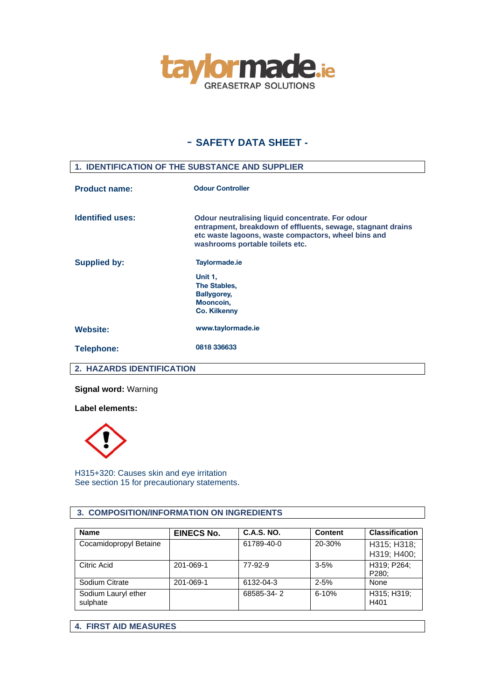

# - **SAFETY DATA SHEET -**

# **1. IDENTIFICATION OF THE SUBSTANCE AND SUPPLIER**

| <b>Product name:</b>    | <b>Odour Controller</b>                                                                                                                                                                                          |  |  |
|-------------------------|------------------------------------------------------------------------------------------------------------------------------------------------------------------------------------------------------------------|--|--|
| <b>Identified uses:</b> | <b>Odour neutralising liquid concentrate. For odour</b><br>entrapment, breakdown of effluents, sewage, stagnant drains<br>etc waste lagoons, waste compactors, wheel bins and<br>washrooms portable toilets etc. |  |  |
| <b>Supplied by:</b>     | Taylormade.ie<br>Unit 1,<br>The Stables,<br><b>Ballygorey,</b><br>Mooncoin,<br><b>Co. Kilkenny</b>                                                                                                               |  |  |
| <b>Website:</b>         | www.taylormade.ie                                                                                                                                                                                                |  |  |
| <b>Telephone:</b>       | 0818 336633                                                                                                                                                                                                      |  |  |

## **2. HAZARDS IDENTIFICATION**

**Signal word:** Warning

**Label elements:**



H315+320: Causes skin and eye irritation See section 15 for precautionary statements.

### **3. COMPOSITION/INFORMATION ON INGREDIENTS**

| <b>Name</b>                     | <b>EINECS No.</b> | <b>C.A.S. NO.</b> | <b>Content</b> | <b>Classification</b>      |
|---------------------------------|-------------------|-------------------|----------------|----------------------------|
| Cocamidopropyl Betaine          |                   | 61789-40-0        | 20-30%         | H315; H318;<br>H319; H400; |
| Citric Acid                     | 201-069-1         | 77-92-9           | $3 - 5%$       | H319; P264;<br>P280;       |
| Sodium Citrate                  | 201-069-1         | 6132-04-3         | $2 - 5%$       | None                       |
| Sodium Lauryl ether<br>sulphate |                   | 68585-34-2        | $6 - 10%$      | H315; H319;<br>H401        |

**4. FIRST AID MEASURES**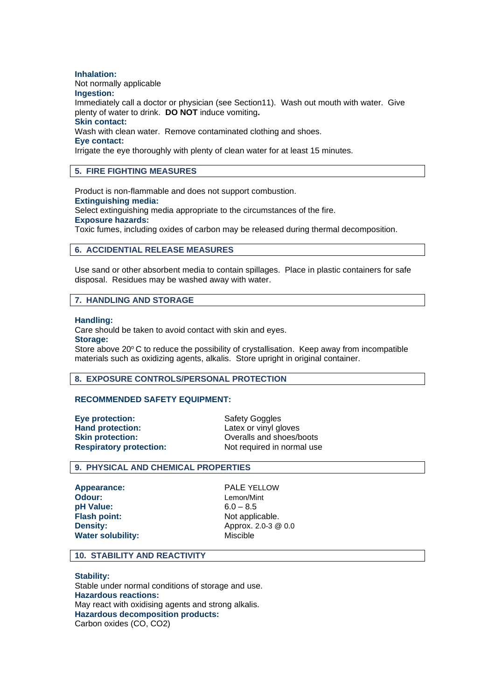**Inhalation:** Not normally applicable **Ingestion:** Immediately call a doctor or physician (see Section11). Wash out mouth with water. Give plenty of water to drink. **DO NOT** induce vomiting**. Skin contact:** Wash with clean water. Remove contaminated clothing and shoes. **Eye contact:** Irrigate the eye thoroughly with plenty of clean water for at least 15 minutes.

### **5. FIRE FIGHTING MEASURES**

Product is non-flammable and does not support combustion. **Extinguishing media:** Select extinguishing media appropriate to the circumstances of the fire. **Exposure hazards:**

Toxic fumes, including oxides of carbon may be released during thermal decomposition.

### **6. ACCIDENTIAL RELEASE MEASURES**

Use sand or other absorbent media to contain spillages. Place in plastic containers for safe disposal. Residues may be washed away with water.

#### **7. HANDLING AND STORAGE**

#### **Handling:**

Care should be taken to avoid contact with skin and eyes.

# **Storage:**

Store above  $20^{\circ}$  C to reduce the possibility of crystallisation. Keep away from incompatible materials such as oxidizing agents, alkalis. Store upright in original container.

#### **8. EXPOSURE CONTROLS/PERSONAL PROTECTION**

#### **RECOMMENDED SAFETY EQUIPMENT:**

**Eye protection:** Safety Goggles **Hand protection:** Latex or vinyl gloves

**Skin protection:** Overalls and shoes/boots **Respiratory protection:** Not required in normal use

### **9. PHYSICAL AND CHEMICAL PROPERTIES**

**Appearance:** PALE YELLOW **Odour:** Lemon/Mint **pH Value:** 6.0 – 8.5 **Flash point:** Not applicable. **Water solubility:** Miscible

**Density:** Approx. 2.0-3 @ 0.0

#### **10. STABILITY AND REACTIVITY**

**Stability:** Stable under normal conditions of storage and use. **Hazardous reactions:** May react with oxidising agents and strong alkalis. **Hazardous decomposition products:** Carbon oxides (CO, CO2)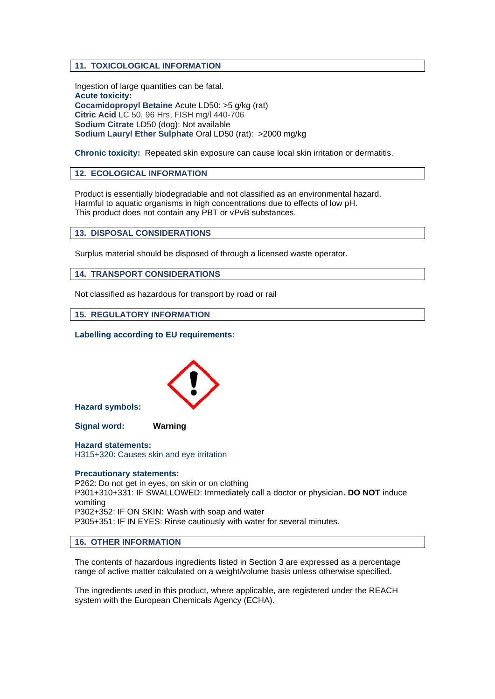### **11. TOXICOLOGICAL INFORMATION**

Ingestion of large quantities can be fatal. **Acute toxicity: Cocamidopropyl Betaine** Acute LD50: >5 g/kg (rat) **Citric Acid** LC 50, 96 Hrs, FISH mg/l 440-706 **Sodium Citrate** LD50 (dog): Not available **Sodium Lauryl Ether Sulphate** Oral LD50 (rat): >2000 mg/kg

**Chronic toxicity:** Repeated skin exposure can cause local skin irritation or dermatitis.

### **12. ECOLOGICAL INFORMATION**

Product is essentially biodegradable and not classified as an environmental hazard. Harmful to aquatic organisms in high concentrations due to effects of low pH. This product does not contain any PBT or vPvB substances.

**13. DISPOSAL CONSIDERATIONS**

Surplus material should be disposed of through a licensed waste operator.

**14. TRANSPORT CONSIDERATIONS**

Not classified as hazardous for transport by road or rail

**15. REGULATORY INFORMATION**

**Labelling according to EU requirements:**



**Hazard symbols:**

**Signal word: Warning**

**Hazard statements:** H315+320: Causes skin and eye irritation

#### **Precautionary statements:**

P262: Do not get in eyes, on skin or on clothing P301+310+331: IF SWALLOWED: Immediately call a doctor or physician**. DO NOT** induce vomiting P302+352: IF ON SKIN: Wash with soap and water P305+351: IF IN EYES: Rinse cautiously with water for several minutes.

#### **16. OTHER INFORMATION**

The contents of hazardous ingredients listed in Section 3 are expressed as a percentage range of active matter calculated on a weight/volume basis unless otherwise specified.

The ingredients used in this product, where applicable, are registered under the REACH system with the European Chemicals Agency (ECHA).